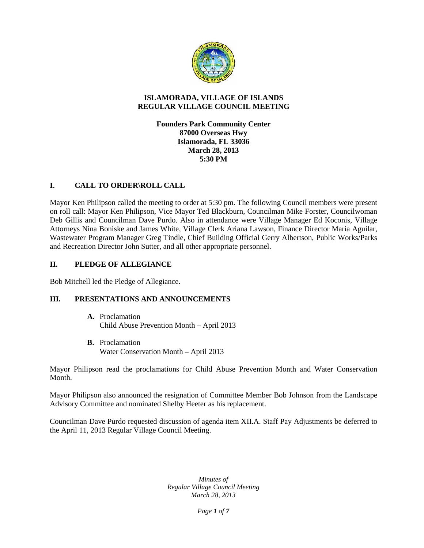

## **ISLAMORADA, VILLAGE OF ISLANDS REGULAR VILLAGE COUNCIL MEETING**

**Founders Park Community Center 87000 Overseas Hwy Islamorada, FL 33036 March 28, 2013 5:30 PM**

## **I. CALL TO ORDER\ROLL CALL**

Mayor Ken Philipson called the meeting to order at 5:30 pm. The following Council members were present on roll call: Mayor Ken Philipson, Vice Mayor Ted Blackburn, Councilman Mike Forster, Councilwoman Deb Gillis and Councilman Dave Purdo. Also in attendance were Village Manager Ed Koconis, Village Attorneys Nina Boniske and James White, Village Clerk Ariana Lawson, Finance Director Maria Aguilar, Wastewater Program Manager Greg Tindle, Chief Building Official Gerry Albertson, Public Works/Parks and Recreation Director John Sutter, and all other appropriate personnel.

### **II. PLEDGE OF ALLEGIANCE**

Bob Mitchell led the Pledge of Allegiance.

## **III. PRESENTATIONS AND ANNOUNCEMENTS**

- **A.** Proclamation Child Abuse Prevention Month – April 2013
- **B.** Proclamation Water Conservation Month – April 2013

Mayor Philipson read the proclamations for Child Abuse Prevention Month and Water Conservation Month.

Mayor Philipson also announced the resignation of Committee Member Bob Johnson from the Landscape Advisory Committee and nominated Shelby Heeter as his replacement.

Councilman Dave Purdo requested discussion of agenda item XII.A. Staff Pay Adjustments be deferred to the April 11, 2013 Regular Village Council Meeting.

> *Minutes of Regular Village Council Meeting March 28, 2013*

> > *Page 1 of 7*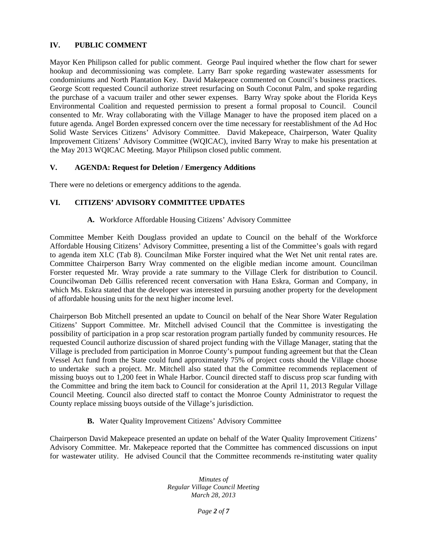## **IV. PUBLIC COMMENT**

Mayor Ken Philipson called for public comment. George Paul inquired whether the flow chart for sewer hookup and decommissioning was complete. Larry Barr spoke regarding wastewater assessments for condominiums and North Plantation Key. David Makepeace commented on Council's business practices. George Scott requested Council authorize street resurfacing on South Coconut Palm, and spoke regarding the purchase of a vacuum trailer and other sewer expenses. Barry Wray spoke about the Florida Keys Environmental Coalition and requested permission to present a formal proposal to Council. Council consented to Mr. Wray collaborating with the Village Manager to have the proposed item placed on a future agenda. Angel Borden expressed concern over the time necessary for reestablishment of the Ad Hoc Solid Waste Services Citizens' Advisory Committee. David Makepeace, Chairperson, Water Quality Improvement Citizens' Advisory Committee (WQICAC), invited Barry Wray to make his presentation at the May 2013 WQICAC Meeting. Mayor Philipson closed public comment.

### **V. AGENDA: Request for Deletion / Emergency Additions**

There were no deletions or emergency additions to the agenda.

### **VI. CITIZENS' ADVISORY COMMITTEE UPDATES**

#### **A.** Workforce Affordable Housing Citizens' Advisory Committee

Committee Member Keith Douglass provided an update to Council on the behalf of the Workforce Affordable Housing Citizens' Advisory Committee, presenting a list of the Committee's goals with regard to agenda item XI.C (Tab 8). Councilman Mike Forster inquired what the Wet Net unit rental rates are. Committee Chairperson Barry Wray commented on the eligible median income amount. Councilman Forster requested Mr. Wray provide a rate summary to the Village Clerk for distribution to Council. Councilwoman Deb Gillis referenced recent conversation with Hana Eskra, Gorman and Company, in which Ms. Eskra stated that the developer was interested in pursuing another property for the development of affordable housing units for the next higher income level.

Chairperson Bob Mitchell presented an update to Council on behalf of the Near Shore Water Regulation Citizens' Support Committee. Mr. Mitchell advised Council that the Committee is investigating the possibility of participation in a prop scar restoration program partially funded by community resources. He requested Council authorize discussion of shared project funding with the Village Manager, stating that the Village is precluded from participation in Monroe County's pumpout funding agreement but that the Clean Vessel Act fund from the State could fund approximately 75% of project costs should the Village choose to undertake such a project. Mr. Mitchell also stated that the Committee recommends replacement of missing buoys out to 1,200 feet in Whale Harbor. Council directed staff to discuss prop scar funding with the Committee and bring the item back to Council for consideration at the April 11, 2013 Regular Village Council Meeting. Council also directed staff to contact the Monroe County Administrator to request the County replace missing buoys outside of the Village's jurisdiction.

**B.** Water Quality Improvement Citizens' Advisory Committee

Chairperson David Makepeace presented an update on behalf of the Water Quality Improvement Citizens' Advisory Committee. Mr. Makepeace reported that the Committee has commenced discussions on input for wastewater utility. He advised Council that the Committee recommends re-instituting water quality

> *Minutes of Regular Village Council Meeting March 28, 2013*

> > *Page 2 of 7*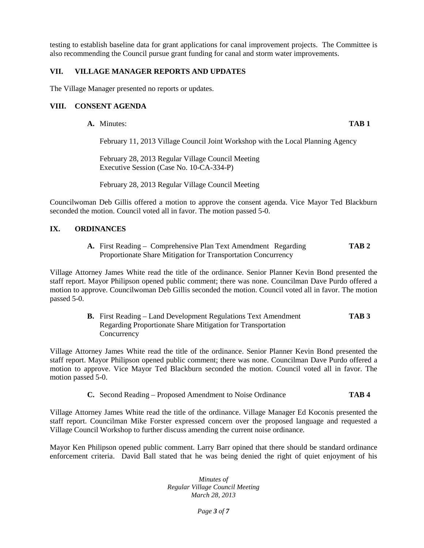testing to establish baseline data for grant applications for canal improvement projects. The Committee is also recommending the Council pursue grant funding for canal and storm water improvements.

### **VII. VILLAGE MANAGER REPORTS AND UPDATES**

The Village Manager presented no reports or updates.

## **VIII. CONSENT AGENDA**

**A.** Minutes: **TAB 1**

February 11, 2013 Village Council Joint Workshop with the Local Planning Agency

February 28, 2013 Regular Village Council Meeting Executive Session (Case No. 10-CA-334-P)

February 28, 2013 Regular Village Council Meeting

Councilwoman Deb Gillis offered a motion to approve the consent agenda. Vice Mayor Ted Blackburn seconded the motion. Council voted all in favor. The motion passed 5-0.

## **IX. ORDINANCES**

**A.** First Reading – Comprehensive Plan Text Amendment Regarding **TAB 2** Proportionate Share Mitigation for Transportation Concurrency

Village Attorney James White read the title of the ordinance. Senior Planner Kevin Bond presented the staff report. Mayor Philipson opened public comment; there was none. Councilman Dave Purdo offered a motion to approve. Councilwoman Deb Gillis seconded the motion. Council voted all in favor. The motion passed 5-0.

> **B.** First Reading – Land Development Regulations Text Amendment **TAB 3** Regarding Proportionate Share Mitigation for Transportation **Concurrency**

Village Attorney James White read the title of the ordinance. Senior Planner Kevin Bond presented the staff report. Mayor Philipson opened public comment; there was none. Councilman Dave Purdo offered a motion to approve. Vice Mayor Ted Blackburn seconded the motion. Council voted all in favor. The motion passed 5-0.

**C.** Second Reading – Proposed Amendment to Noise Ordinance **TAB 4**

Village Attorney James White read the title of the ordinance. Village Manager Ed Koconis presented the staff report. Councilman Mike Forster expressed concern over the proposed language and requested a Village Council Workshop to further discuss amending the current noise ordinance.

Mayor Ken Philipson opened public comment. Larry Barr opined that there should be standard ordinance enforcement criteria. David Ball stated that he was being denied the right of quiet enjoyment of his

> *Minutes of Regular Village Council Meeting March 28, 2013*

> > *Page 3 of 7*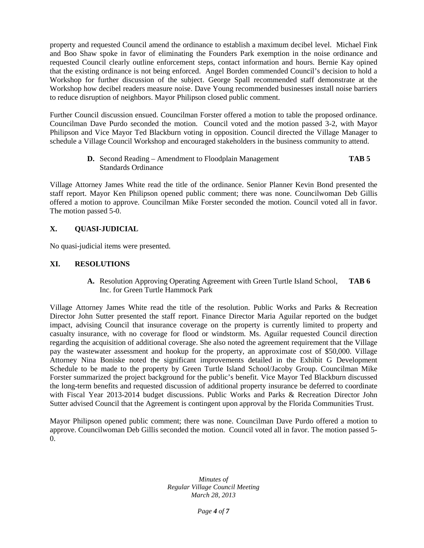property and requested Council amend the ordinance to establish a maximum decibel level. Michael Fink and Boo Shaw spoke in favor of eliminating the Founders Park exemption in the noise ordinance and requested Council clearly outline enforcement steps, contact information and hours. Bernie Kay opined that the existing ordinance is not being enforced. Angel Borden commended Council's decision to hold a Workshop for further discussion of the subject. George Spall recommended staff demonstrate at the Workshop how decibel readers measure noise. Dave Young recommended businesses install noise barriers to reduce disruption of neighbors. Mayor Philipson closed public comment.

Further Council discussion ensued. Councilman Forster offered a motion to table the proposed ordinance. Councilman Dave Purdo seconded the motion. Council voted and the motion passed 3-2, with Mayor Philipson and Vice Mayor Ted Blackburn voting in opposition. Council directed the Village Manager to schedule a Village Council Workshop and encouraged stakeholders in the business community to attend.

> **D.** Second Reading – Amendment to Floodplain Management **TAB 5** Standards Ordinance

Village Attorney James White read the title of the ordinance. Senior Planner Kevin Bond presented the staff report. Mayor Ken Philipson opened public comment; there was none. Councilwoman Deb Gillis offered a motion to approve. Councilman Mike Forster seconded the motion. Council voted all in favor. The motion passed 5-0.

### **X. QUASI-JUDICIAL**

No quasi-judicial items were presented.

#### **XI. RESOLUTIONS**

**A.** Resolution Approving Operating Agreement with Green Turtle Island School, **TAB 6** Inc. for Green Turtle Hammock Park

Village Attorney James White read the title of the resolution. Public Works and Parks & Recreation Director John Sutter presented the staff report. Finance Director Maria Aguilar reported on the budget impact, advising Council that insurance coverage on the property is currently limited to property and casualty insurance, with no coverage for flood or windstorm. Ms. Aguilar requested Council direction regarding the acquisition of additional coverage. She also noted the agreement requirement that the Village pay the wastewater assessment and hookup for the property, an approximate cost of \$50,000. Village Attorney Nina Boniske noted the significant improvements detailed in the Exhibit G Development Schedule to be made to the property by Green Turtle Island School/Jacoby Group. Councilman Mike Forster summarized the project background for the public's benefit. Vice Mayor Ted Blackburn discussed the long-term benefits and requested discussion of additional property insurance be deferred to coordinate with Fiscal Year 2013-2014 budget discussions. Public Works and Parks & Recreation Director John Sutter advised Council that the Agreement is contingent upon approval by the Florida Communities Trust.

Mayor Philipson opened public comment; there was none. Councilman Dave Purdo offered a motion to approve. Councilwoman Deb Gillis seconded the motion. Council voted all in favor. The motion passed 5- 0.

> *Minutes of Regular Village Council Meeting March 28, 2013*

> > *Page 4 of 7*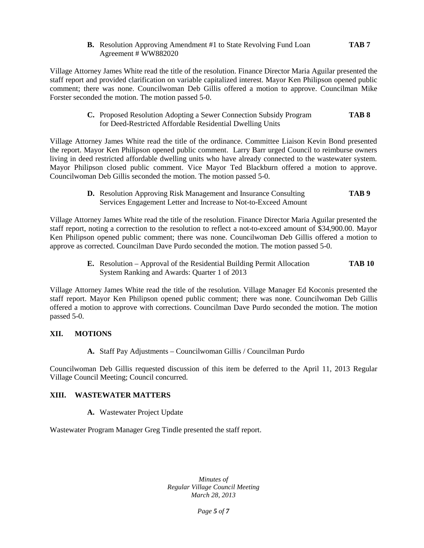**B.** Resolution Approving Amendment #1 to State Revolving Fund Loan **TAB 7** Agreement # WW882020

Village Attorney James White read the title of the resolution. Finance Director Maria Aguilar presented the staff report and provided clarification on variable capitalized interest. Mayor Ken Philipson opened public comment; there was none. Councilwoman Deb Gillis offered a motion to approve. Councilman Mike Forster seconded the motion. The motion passed 5-0.

> **C.** Proposed Resolution Adopting a Sewer Connection Subsidy Program **TAB 8** for Deed-Restricted Affordable Residential Dwelling Units

Village Attorney James White read the title of the ordinance. Committee Liaison Kevin Bond presented the report. Mayor Ken Philipson opened public comment. Larry Barr urged Council to reimburse owners living in deed restricted affordable dwelling units who have already connected to the wastewater system. Mayor Philipson closed public comment. Vice Mayor Ted Blackburn offered a motion to approve. Councilwoman Deb Gillis seconded the motion. The motion passed 5-0.

> **D.** Resolution Approving Risk Management and Insurance Consulting **TAB 9** Services Engagement Letter and Increase to Not-to-Exceed Amount

Village Attorney James White read the title of the resolution. Finance Director Maria Aguilar presented the staff report, noting a correction to the resolution to reflect a not-to-exceed amount of \$34,900.00. Mayor Ken Philipson opened public comment; there was none. Councilwoman Deb Gillis offered a motion to approve as corrected. Councilman Dave Purdo seconded the motion. The motion passed 5-0.

> **E.** Resolution – Approval of the Residential Building Permit Allocation **TAB 10** System Ranking and Awards: Quarter 1 of 2013

Village Attorney James White read the title of the resolution. Village Manager Ed Koconis presented the staff report. Mayor Ken Philipson opened public comment; there was none. Councilwoman Deb Gillis offered a motion to approve with corrections. Councilman Dave Purdo seconded the motion. The motion passed 5-0.

#### **XII. MOTIONS**

**A.** Staff Pay Adjustments – Councilwoman Gillis / Councilman Purdo

Councilwoman Deb Gillis requested discussion of this item be deferred to the April 11, 2013 Regular Village Council Meeting; Council concurred.

#### **XIII. WASTEWATER MATTERS**

#### **A.** Wastewater Project Update

Wastewater Program Manager Greg Tindle presented the staff report.

*Minutes of Regular Village Council Meeting March 28, 2013*

*Page 5 of 7*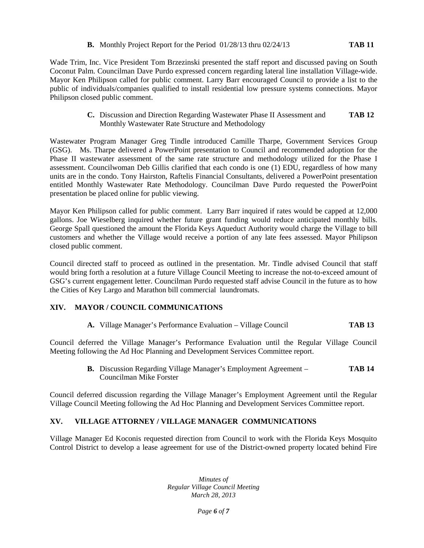### **B.** Monthly Project Report for the Period 01/28/13 thru 02/24/13 **TAB 11**

Wade Trim, Inc. Vice President Tom Brzezinski presented the staff report and discussed paving on South Coconut Palm. Councilman Dave Purdo expressed concern regarding lateral line installation Village-wide. Mayor Ken Philipson called for public comment. Larry Barr encouraged Council to provide a list to the public of individuals/companies qualified to install residential low pressure systems connections. Mayor Philipson closed public comment.

> **C.** Discussion and Direction Regarding Wastewater Phase II Assessment and **TAB 12** Monthly Wastewater Rate Structure and Methodology

Wastewater Program Manager Greg Tindle introduced Camille Tharpe, Government Services Group (GSG). Ms. Tharpe delivered a PowerPoint presentation to Council and recommended adoption for the Phase II wastewater assessment of the same rate structure and methodology utilized for the Phase I assessment. Councilwoman Deb Gillis clarified that each condo is one (1) EDU, regardless of how many units are in the condo. Tony Hairston, Raftelis Financial Consultants, delivered a PowerPoint presentation entitled Monthly Wastewater Rate Methodology. Councilman Dave Purdo requested the PowerPoint presentation be placed online for public viewing.

Mayor Ken Philipson called for public comment. Larry Barr inquired if rates would be capped at 12,000 gallons. Joe Wieselberg inquired whether future grant funding would reduce anticipated monthly bills. George Spall questioned the amount the Florida Keys Aqueduct Authority would charge the Village to bill customers and whether the Village would receive a portion of any late fees assessed. Mayor Philipson closed public comment.

Council directed staff to proceed as outlined in the presentation. Mr. Tindle advised Council that staff would bring forth a resolution at a future Village Council Meeting to increase the not-to-exceed amount of GSG's current engagement letter. Councilman Purdo requested staff advise Council in the future as to how the Cities of Key Largo and Marathon bill commercial laundromats.

## **XIV. MAYOR / COUNCIL COMMUNICATIONS**

**A.** Village Manager's Performance Evaluation – Village Council **TAB 13**

Council deferred the Village Manager's Performance Evaluation until the Regular Village Council Meeting following the Ad Hoc Planning and Development Services Committee report.

> **B.** Discussion Regarding Village Manager's Employment Agreement – **TAB 14** Councilman Mike Forster

Council deferred discussion regarding the Village Manager's Employment Agreement until the Regular Village Council Meeting following the Ad Hoc Planning and Development Services Committee report.

# **XV. VILLAGE ATTORNEY / VILLAGE MANAGER COMMUNICATIONS**

Village Manager Ed Koconis requested direction from Council to work with the Florida Keys Mosquito Control District to develop a lease agreement for use of the District-owned property located behind Fire

> *Minutes of Regular Village Council Meeting March 28, 2013*

> > *Page 6 of 7*